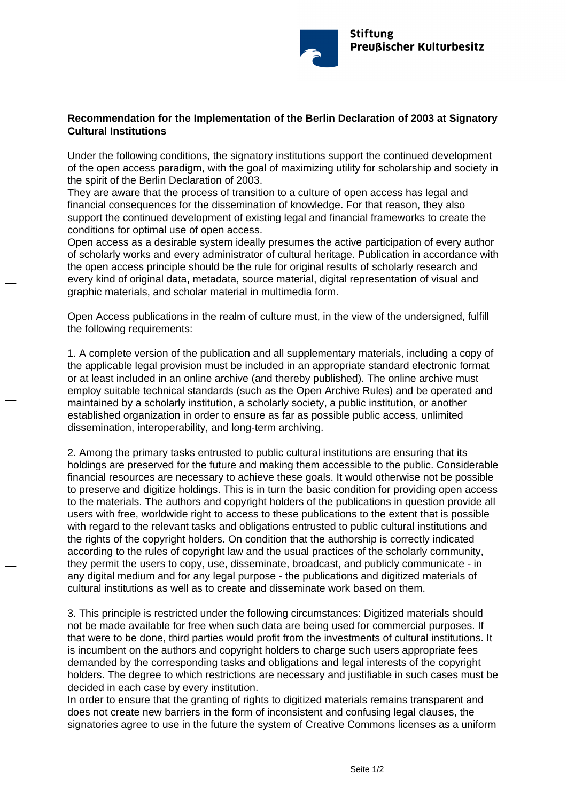

## **Recommendation for the Implementation of the Berlin Declaration of 2003 at Signatory Cultural Institutions**

Under the following conditions, the signatory institutions support the continued development of the open access paradigm, with the goal of maximizing utility for scholarship and society in the spirit of the Berlin Declaration of 2003.

They are aware that the process of transition to a culture of open access has legal and financial consequences for the dissemination of knowledge. For that reason, they also support the continued development of existing legal and financial frameworks to create the conditions for optimal use of open access.

Open access as a desirable system ideally presumes the active participation of every author of scholarly works and every administrator of cultural heritage. Publication in accordance with the open access principle should be the rule for original results of scholarly research and every kind of original data, metadata, source material, digital representation of visual and graphic materials, and scholar material in multimedia form.

Open Access publications in the realm of culture must, in the view of the undersigned, fulfill the following requirements:

1. A complete version of the publication and all supplementary materials, including a copy of the applicable legal provision must be included in an appropriate standard electronic format or at least included in an online archive (and thereby published). The online archive must employ suitable technical standards (such as the Open Archive Rules) and be operated and maintained by a scholarly institution, a scholarly society, a public institution, or another established organization in order to ensure as far as possible public access, unlimited dissemination, interoperability, and long-term archiving.

2. Among the primary tasks entrusted to public cultural institutions are ensuring that its holdings are preserved for the future and making them accessible to the public. Considerable financial resources are necessary to achieve these goals. It would otherwise not be possible to preserve and digitize holdings. This is in turn the basic condition for providing open access to the materials. The authors and copyright holders of the publications in question provide all users with free, worldwide right to access to these publications to the extent that is possible with regard to the relevant tasks and obligations entrusted to public cultural institutions and the rights of the copyright holders. On condition that the authorship is correctly indicated according to the rules of copyright law and the usual practices of the scholarly community, they permit the users to copy, use, disseminate, broadcast, and publicly communicate - in any digital medium and for any legal purpose - the publications and digitized materials of cultural institutions as well as to create and disseminate work based on them.

3. This principle is restricted under the following circumstances: Digitized materials should not be made available for free when such data are being used for commercial purposes. If that were to be done, third parties would profit from the investments of cultural institutions. It is incumbent on the authors and copyright holders to charge such users appropriate fees demanded by the corresponding tasks and obligations and legal interests of the copyright holders. The degree to which restrictions are necessary and justifiable in such cases must be decided in each case by every institution.

In order to ensure that the granting of rights to digitized materials remains transparent and does not create new barriers in the form of inconsistent and confusing legal clauses, the signatories agree to use in the future the system of Creative Commons licenses as a uniform